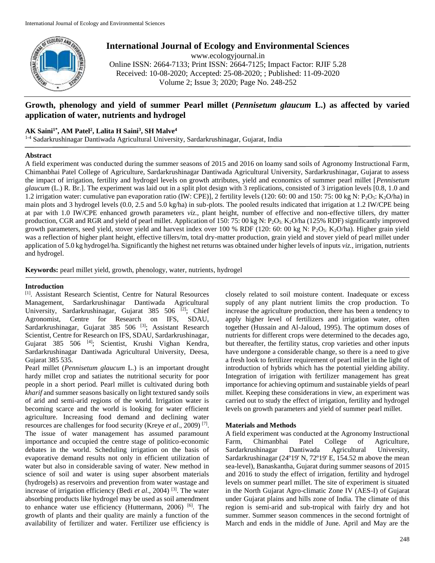

**International Journal of Ecology and Environmental Sciences**

www.ecologyjournal.in

Online ISSN: 2664-7133; Print ISSN: 2664-7125; Impact Factor: RJIF 5.28 Received: 10-08-2020; Accepted: 25-08-2020; ; Published: 11-09-2020 Volume 2; Issue 3; 2020; Page No. 248-252

# **Growth, phenology and yield of summer Pearl millet (***Pennisetum glaucum* **L.) as affected by varied application of water, nutrients and hydrogel**

# **AK Saini1\* , AM Patel<sup>2</sup> , Lalita H Saini<sup>3</sup> , SH Malve<sup>4</sup>**

1-4 Sadarkrushinagar Dantiwada Agricultural University, Sardarkrushinagar, Gujarat, India

## **Abstract**

A field experiment was conducted during the summer seasons of 2015 and 2016 on loamy sand soils of Agronomy Instructional Farm, Chimanbhai Patel College of Agriculture, Sardarkrushinagar Dantiwada Agricultural University, Sardarkrushinagar, Gujarat to assess the impact of irrigation, fertility and hydrogel levels on growth attributes, yield and economics of summer pearl millet [*Pennisetum glaucum* (L.) R. Br.]. The experiment was laid out in a split plot design with 3 replications, consisted of 3 irrigation levels [0.8, 1.0 and 1.2 irrigation water: cumulative pan evaporation ratio (IW: CPE)], 2 fertility levels (120: 60: 00 and 150: 75: 00 kg N: P<sub>2</sub>O<sub>5</sub>: K<sub>2</sub>O/ha) in main plots and 3 hydrogel levels (0.0, 2.5 and 5.0 kg/ha) in sub-plots. The pooled results indicated that irrigation at 1.2 IW/CPE being at par with 1.0 IW/CPE enhanced growth parameters *viz.,* plant height, number of effective and non-effective tillers, dry matter production, CGR and RGR and yield of pearl millet. Application of 150: 75: 00 kg N:  $P_2O_{5}$ : K<sub>2</sub>O/ha (125% RDF) significantly improved growth parameters, seed yield, stover yield and harvest index over 100 % RDF (120: 60: 00 kg N:  $P_2O_5$ : K<sub>2</sub>O/ha). Higher grain yield was a reflection of higher plant height, effective tillers/m, total dry-matter production, grain yield and stover yield of pearl millet under application of 5.0 kg hydrogel/ha. Significantly the highest net returns was obtained under higher levels of inputs *viz.,* irrigation, nutrients and hydrogel.

**Keywords:** pearl millet yield, growth, phenology, water, nutrients, hydrogel

# **Introduction**

[1] . Assistant Research Scientist, Centre for Natural Resources Management, Sardarkrushinagar Dantiwada Agricultural University, Sardarkrushinagar, Gujarat 385 506 [2]; Chief Agronomist, Centre for Research on IFS, SDAU, Sardarkrushinagar, Gujarat 385 506 [3]; Assistant Research Scientist, Centre for Research on IFS, SDAU, Sardarkrushinagar, Gujarat 385 506 [4]; Scientist, Krushi Vighan Kendra, Sardarkrushinagar Dantiwada Agricultural University, Deesa, Gujarat 385 535.

Pearl millet (*Pennisetum glaucum* L.) is an important drought hardy millet crop and satiates the nutritional security for poor people in a short period. Pearl millet is cultivated during both *kharif* and summer seasons basically on light textured sandy soils of arid and semi-arid regions of the world. Irrigation water is becoming scarce and the world is looking for water efficient agriculture. Increasing food demand and declining water resources are challenges for food security (Kreye *et al*., 2009) [7] . The issue of water management has assumed paramount importance and occupied the centre stage of politico-economic debates in the world. Scheduling irrigation on the basis of evaporative demand results not only in efficient utilization of water but also in considerable saving of water. New method in science of soil and water is using super absorbent materials (hydrogels) as reservoirs and prevention from water wastage and increase of irrigation efficiency (Bedi *et al*., 2004) [3]. The water absorbing products like hydrogel may be used as soil amendment to enhance water use efficiency (Huttermann, 2006) [6]. The growth of plants and their quality are mainly a function of the availability of fertilizer and water. Fertilizer use efficiency is

closely related to soil moisture content. Inadequate or excess supply of any plant nutrient limits the crop production. To increase the agriculture production, there has been a tendency to apply higher level of fertilizers and irrigation water, often together (Hussain and Al-Jaloud, 1995). The optimum doses of nutrients for different crops were determined to the decades ago, but thereafter, the fertility status, crop varieties and other inputs have undergone a considerable change, so there is a need to give a fresh look to fertilizer requirement of pearl millet in the light of introduction of hybrids which has the potential yielding ability. Integration of irrigation with fertilizer management has great importance for achieving optimum and sustainable yields of pearl millet. Keeping these considerations in view, an experiment was carried out to study the effect of irrigation, fertility and hydrogel levels on growth parameters and yield of summer pearl millet.

# **Materials and Methods**

A field experiment was conducted at the Agronomy Instructional Farm, Chimanbhai Patel College of Agriculture, Sardarkrushinagar Dantiwada Agricultural University, Sardarkrushinagar (24º19' N, 72º19' E, 154.52 m above the mean sea-level), Banaskantha, Gujarat during summer seasons of 2015 and 2016 to study the effect of irrigation, fertility and hydrogel levels on summer pearl millet. The site of experiment is situated in the North Gujarat Agro-climatic Zone IV (AES-I) of Gujarat under Gujarat plains and hills zone of India. The climate of this region is semi-arid and sub-tropical with fairly dry and hot summer. Summer season commences in the second fortnight of March and ends in the middle of June. April and May are the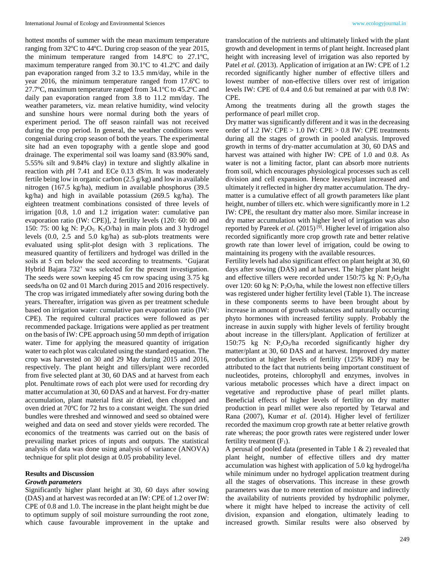hottest months of summer with the mean maximum temperature ranging from 32ºC to 44ºC. During crop season of the year 2015, the minimum temperature ranged from 14.8ºC to 27.1ºC, maximum temperature ranged from 30.1ºC to 41.2ºC and daily pan evaporation ranged from 3.2 to 13.5 mm/day, while in the year 2016, the minimum temperature ranged from 17.6ºC to 27.7ºC, maximum temperature ranged from 34.1ºC to 45.2ºC and daily pan evaporation ranged from 3.8 to 11.2 mm/day. The weather parameters, viz. mean relative humidity, wind velocity and sunshine hours were normal during both the years of experiment period. The off season rainfall was not received during the crop period. In general, the weather conditions were congenial during crop season of both the years. The experimental site had an even topography with a gentle slope and good drainage. The experimental soil was loamy sand (83.90% sand, 5.55% silt and 9.84% clay) in texture and slightly alkaline in reaction with *p*H 7.41 and ECe 0.13 dS/m. It was moderately fertile being low in organic carbon (2.5 g/kg) and low in available nitrogen (167.5 kg/ha), medium in available phosphorus (39.5 kg/ha) and high in available potassium (269.5 kg/ha). The eighteen treatment combinations consisted of three levels of irrigation [0.8, 1.0 and 1.2 irrigation water: cumulative pan evaporation ratio (IW: CPE)], 2 fertility levels (120: 60: 00 and 150: 75: 00 kg N:  $P_2O_5$ : K<sub>2</sub>O/ha) in main plots and 3 hydrogel levels (0.0, 2.5 and 5.0 kg/ha) as sub-plots treatments were evaluated using split-plot design with 3 replications. The measured quantity of fertilizers and hydrogel was drilled in the soils at 5 cm below the seed according to treatments. 'Gujarat Hybrid Bajara 732' was selected for the present investigation. The seeds were sown keeping 45 cm row spacing using 3.75 kg seeds/ha on 02 and 01 March during 2015 and 2016 respectively. The crop was irrigated immediately after sowing during both the years. Thereafter, irrigation was given as per treatment schedule based on irrigation water: cumulative pan evaporation ratio (IW: CPE). The required cultural practices were followed as per recommended package. Irrigations were applied as per treatment on the basis of IW: CPE approach using 50 mm depth of irrigation water. Time for applying the measured quantity of irrigation water to each plot was calculated using the standard equation. The crop was harvested on 30 and 29 May during 2015 and 2016, respectively. The plant height and tillers/plant were recorded from five selected plant at 30, 60 DAS and at harvest from each plot. Penultimate rows of each plot were used for recording dry matter accumulation at 30, 60 DAS and at harvest. For dry-matter accumulation, plant material first air dried, then chopped and oven dried at 70ºC for 72 hrs to a constant weight. The sun dried bundles were threshed and winnowed and seed so obtained were weighed and data on seed and stover yields were recorded. The economics of the treatments was carried out on the basis of prevailing market prices of inputs and outputs. The statistical analysis of data was done using analysis of variance (ANOVA) technique for split plot design at 0.05 probability level.

### **Results and Discussion**

#### *Growth parameters*

Significantly higher plant height at 30, 60 days after sowing (DAS) and at harvest was recorded at an IW: CPE of 1.2 over IW: CPE of 0.8 and 1.0. The increase in the plant height might be due to optimum supply of soil moisture surrounding the root zone, which cause favourable improvement in the uptake and

translocation of the nutrients and ultimately linked with the plant growth and development in terms of plant height. Increased plant height with increasing level of irrigation was also reported by Patel *et al.* (2013). Application of irrigation at an IW: CPE of 1.2 recorded significantly higher number of effective tillers and lowest number of non-effective tillers over rest of irrigation levels IW: CPE of 0.4 and 0.6 but remained at par with 0.8 IW: CPE.

Among the treatments during all the growth stages the performance of pearl millet crop.

Dry matter was significantly different and it was in the decreasing order of 1.2 IW:  $CPE > 1.0$  IW:  $CPE > 0.8$  IW:  $CPE$  treatments during all the stages of growth in pooled analysis. Improved growth in terms of dry-matter accumulation at 30, 60 DAS and harvest was attained with higher IW: CPE of 1.0 and 0.8. As water is not a limiting factor, plant can absorb more nutrients from soil, which encourages physiological processes such as cell division and cell expansion. Hence leaves/plant increased and ultimately it reflected in higher dry matter accumulation. The drymatter is a cumulative effect of all growth parameters like plant height, number of tillers etc. which were significantly more in 1.2 IW: CPE, the resultant dry matter also more. Similar increase in dry matter accumulation with higher level of irrigation was also reported by Pareek *et al.* (2015)<sup>[9]</sup>. Higher level of irrigation also recorded significantly more crop growth rate and better relative growth rate than lower level of irrigation, could be owing to maintaining its progeny with the available resources.

Fertility levels had also significant effect on plant height at 30, 60 days after sowing (DAS) and at harvest. The higher plant height and effective tillers were recorded under 150:75 kg N:  $P_2O_5/ha$ over 120: 60 kg N:  $P_2O_5/ha$ , while the lowest non effective tillers was registered under higher fertility level (Table 1). The increase in these components seems to have been brought about by increase in amount of growth substances and naturally occurring phyto hormones with increased fertility supply. Probably the increase in auxin supply with higher levels of fertility brought about increase in the tillers/plant. Application of fertilizer at 150:75 kg N:  $P_2O_5/ha$  recorded significantly higher dry matter/plant at 30, 60 DAS and at harvest. Improved dry matter production at higher levels of fertility (125% RDF) may be attributed to the fact that nutrients being important constituent of nucleotides, proteins, chlorophyll and enzymes, involves in various metabolic processes which have a direct impact on vegetative and reproductive phase of pearl millet plants. Beneficial effects of higher levels of fertility on dry matter production in pearl millet were also reported by Tetarwal and Rana (2007), Kumar *et al*. (2014). Higher level of fertilizer recorded the maximum crop growth rate at better relative growth rate whereas; the poor growth rates were registered under lower fertility treatment  $(F_1)$ .

A perusal of pooled data (presented in Table 1 & 2) revealed that plant height, number of effective tillers and dry matter accumulation was highest with application of 5.0 kg hydrogel/ha while minimum under no hydrogel application treatment during all the stages of observations. This increase in these growth parameters was due to more retention of moisture and indirectly the availability of nutrients provided by hydrophilic polymer, where it might have helped to increase the activity of cell division, expansion and elongation, ultimately leading to increased growth. Similar results were also observed by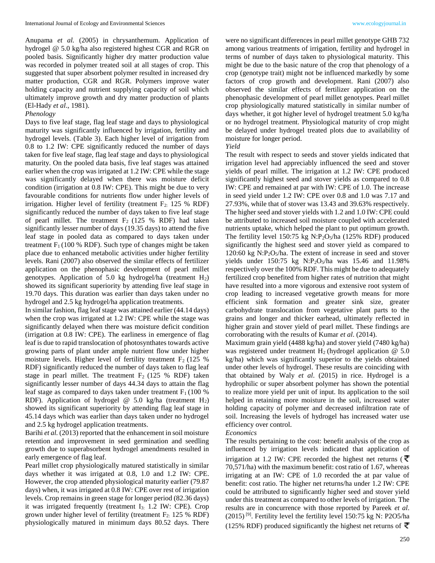Anupama *et al.* (2005) in chrysanthemum. Application of hydrogel @ 5.0 kg/ha also registered highest CGR and RGR on pooled basis. Significantly higher dry matter production value was recorded in polymer treated soil at all stages of crop. This suggested that super absorbent polymer resulted in increased dry matter production, CGR and RGR. Polymers improve water holding capacity and nutrient supplying capacity of soil which ultimately improve growth and dry matter production of plants (El-Hady *et al*., 1981).

## *Phenology*

Days to five leaf stage, flag leaf stage and days to physiological maturity was significantly influenced by irrigation, fertility and hydrogel levels. (Table 3). Each higher level of irrigation from 0.8 to 1.2 IW: CPE significantly reduced the number of days taken for five leaf stage, flag leaf stage and days to physiological maturity. On the pooled data basis, five leaf stages was attained earlier when the crop was irrigated at 1.2 IW: CPE while the stage was significantly delayed when there was moisture deficit condition (irrigation at 0.8 IW: CPE). This might be due to very favourable conditions for nutrients flow under higher levels of irrigation. Higher level of fertility (treatment  $F_2$ : 125 % RDF) significantly reduced the number of days taken to five leaf stage of pearl millet. The treatment  $F_2$  (125 % RDF) had taken significantly lesser number of days (19.35 days) to attend the five leaf stage in pooled data as compared to days taken under treatment  $F_1(100 % RDF)$ . Such type of changes might be taken place due to enhanced metabolic activities under higher fertility levels. Rani (2007) also observed the similar effects of fertilizer application on the phenophasic development of pearl millet genotypes. Application of 5.0 kg hydrogel/ha (treatment H2) showed its significant superiority by attending five leaf stage in 19.70 days. This duration was earlier than days taken under no hydrogel and 2.5 kg hydrogel/ha application treatments.

In similar fashion, flag leaf stage was attained earlier (44.14 days) when the crop was irrigated at 1.2 IW: CPE while the stage was significantly delayed when there was moisture deficit condition (irrigation at 0.8 IW: CPE). The earliness in emergence of flag leaf is due to rapid translocation of photosynthates towards active growing parts of plant under ample nutrient flow under higher moisture levels. Higher level of fertility treatment  $F_2$  (125 %) RDF) significantly reduced the number of days taken to flag leaf stage in pearl millet. The treatment  $F_2$  (125 % RDF) taken significantly lesser number of days 44.34 days to attain the flag leaf stage as compared to days taken under treatment  $F_1$  (100 %) RDF). Application of hydrogel  $\omega$  5.0 kg/ha (treatment H<sub>2</sub>) showed its significant superiority by attending flag leaf stage in 45.14 days which was earlier than days taken under no hydrogel and 2.5 kg hydrogel application treatments.

Barihi *et al.* (2013) reported that the enhancement in soil moisture retention and improvement in seed germination and seedling growth due to superabsorbent hydrogel amendments resulted in early emergence of flag leaf.

Pearl millet crop physiologically matured statistically in similar days whether it was irrigated at 0.8, 1.0 and 1.2 IW: CPE. However, the crop attended physiological maturity earlier (79.87 days) when, it was irrigated at 0.8 IW: CPE over rest of irrigation levels. Crop remains in green stage for longer period (82.36 days) it was irrigated frequently (treatment  $I_3$ : 1.2 IW: CPE). Crop grown under higher level of fertility (treatment  $F_2$ : 125 % RDF) physiologically matured in minimum days 80.52 days. There

were no significant differences in pearl millet genotype GHB 732 among various treatments of irrigation, fertility and hydrogel in terms of number of days taken to physiological maturity. This might be due to the basic nature of the crop that phenology of a crop (genotype trait) might not be influenced markedly by some factors of crop growth and development. Rani (2007) also observed the similar effects of fertilizer application on the phenophasic development of pearl millet genotypes. Pearl millet crop physiologically matured statistically in similar number of days whether, it got higher level of hydrogel treatment 5.0 kg/ha or no hydrogel treatment. Physiological maturity of crop might be delayed under hydrogel treated plots due to availability of moisture for longer period.

#### *Yield*

The result with respect to seeds and stover yields indicated that irrigation level had appreciably influenced the seed and stover yields of pearl millet. The irrigation at 1.2 IW: CPE produced significantly highest seed and stover yields as compared to 0.8 IW: CPE and remained at par with IW: CPE of 1.0. The increase in seed yield under 1.2 IW: CPE over 0.8 and 1.0 was 7.17 and 27.93%, while that of stover was 13.43 and 39.63% respectively. The higher seed and stover yields with 1.2 and 1.0 IW: CPE could be attributed to increased soil moisture coupled with accelerated nutrients uptake, which helped the plant to put optimum growth. The fertility level 150:75 kg N:P<sub>2</sub>O<sub>5</sub>/ha (125% RDF) produced significantly the highest seed and stover yield as compared to  $120:60 \text{ kg } N:P_2O_5/\text{ha}$ . The extent of increase in seed and stover yields under 150:75 kg  $N:P_2O_5/ha$  was 15.46 and 11.98% respectively over the 100% RDF. This might be due to adequately fertilized crop benefited from higher rates of nutrition that might have resulted into a more vigorous and extensive root system of crop leading to increased vegetative growth means for more efficient sink formation and greater sink size, greater carbohydrate translocation from vegetative plant parts to the grains and longer and thicker earhead, ultimately reflected in higher grain and stover yield of pearl millet. These findings are corroborating with the results of Kumar *et al*. (2014).

Maximum grain yield (4488 kg/ha) and stover yield (7480 kg/ha) was registered under treatment  $H_2$  (hydrogel application  $\omega$  5.0 kg/ha) which was significantly superior to the yields obtained under other levels of hydrogel. These results are coinciding with that obtained by Waly *et al*. (2015) in rice. Hydrogel is a hydrophilic or super absorbent polymer has shown the potential to realize more yield per unit of input. Its application to the soil helped in retaining more moisture in the soil, increased water holding capacity of polymer and decreased infiltration rate of soil. Increasing the levels of hydrogel has increased water use efficiency over control.

#### *Economics*

The results pertaining to the cost: benefit analysis of the crop as influenced by irrigation levels indicated that application of irrigation at 1.2 IW: CPE recorded the highest net returns ( $\overline{\overline{z}}$ 70,571/ha) with the maximum benefit: cost ratio of 1.67, whereas irrigating at an IW: CPE of 1.0 recorded the at par value of benefit: cost ratio. The higher net returns/ha under 1.2 IW: CPE could be attributed to significantly higher seed and stover yield under this treatment as compared to other levels of irrigation. The results are in concurrence with those reported by Pareek *et al*.  $(2015)$ <sup>[9]</sup>. Fertility level the fertility level 150:75 kg N: P2O5/ha (125% RDF) produced significantly the highest net returns of  $\overline{\mathbf{z}}$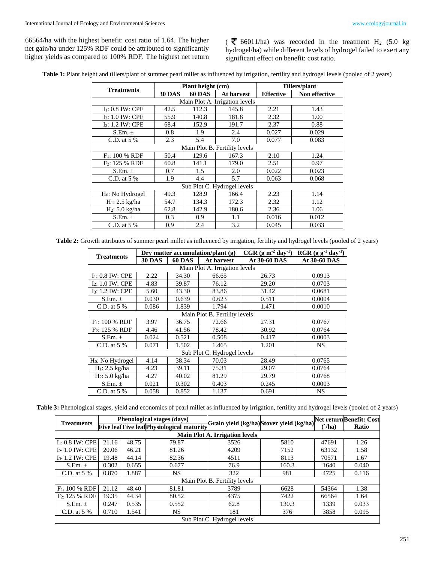66564/ha with the highest benefit: cost ratio of 1.64. The higher net gain/ha under 125% RDF could be attributed to significantly higher yields as compared to 100% RDF. The highest net return

( $\overline{\mathbf{z}}$  66011/ha) was recorded in the treatment H<sub>2</sub> (5.0 kg) hydrogel/ha) while different levels of hydrogel failed to exert any significant effect on benefit: cost ratio.

Table 1: Plant height and tillers/plant of summer pearl millet as influenced by irrigation, fertility and hydrogel levels (pooled of 2 years)

| <b>Treatments</b>                 |               | Plant height (cm) |            | Tillers/plant    |               |  |  |  |
|-----------------------------------|---------------|-------------------|------------|------------------|---------------|--|--|--|
|                                   | <b>30 DAS</b> | <b>60 DAS</b>     | At harvest | <b>Effective</b> | Non effective |  |  |  |
| Main Plot A. Irrigation levels    |               |                   |            |                  |               |  |  |  |
| $I1: 0.8$ IW: CPE                 | 42.5          | 112.3             | 145.8      | 2.21             | 1.43          |  |  |  |
| <b>I<sub>2</sub>: 1.0 IW: CPE</b> | 55.9          | 140.8             | 181.8      | 2.32             | 1.00          |  |  |  |
| I <sub>3</sub> : 1.2 IW: CPE      | 68.4          | 152.9             | 191.7      | 2.37             | 0.88          |  |  |  |
| S.Em. $\pm$                       | 0.8           | 1.9               | 2.4        | 0.027            | 0.029         |  |  |  |
| C.D. at $5\%$                     | 2.3           | 5.4               | 7.0        | 0.077            | 0.083         |  |  |  |
| Main Plot B. Fertility levels     |               |                   |            |                  |               |  |  |  |
| $F_1$ : 100 % RDF                 | 50.4          | 129.6             | 167.3      | 2.10             | 1.24          |  |  |  |
| $F_2$ : 125 % RDF                 | 60.8          | 141.1             | 179.0      | 2.51             | 0.97          |  |  |  |
| $S.Em. \pm$                       | 0.7           | 1.5               | 2.0        | 0.022            | 0.023         |  |  |  |
| C.D. at $5\%$                     | 1.9           | 4.4               | 5.7        | 0.063            | 0.068         |  |  |  |
| Sub Plot C. Hydrogel levels       |               |                   |            |                  |               |  |  |  |
| H <sub>0</sub> : No Hydrogel      | 49.3          | 128.9             | 166.4      | 2.23             | 1.14          |  |  |  |
| $H_1$ : 2.5 kg/ha                 | 54.7          | 134.3             | 172.3      | 2.32             | 1.12          |  |  |  |
| $H_2$ : 5.0 kg/ha                 | 62.8          | 142.9             | 180.6      | 2.36             | 1.06          |  |  |  |
| S.Em. $\pm$                       | 0.3           | 0.9               | 1.1        | 0.016            | 0.012         |  |  |  |
| C.D. at $5\%$                     | 0.9           | 2.4               | 3.2        | 0.045            | 0.033         |  |  |  |

**Table 2:** Growth attributes of summer pearl millet as influenced by irrigation, fertility and hydrogel levels (pooled of 2 years)

| <b>Treatments</b>              |               |               | Dry matter accumulation/plant $(g)$ | $CGR$ (g m <sup>-2</sup> day <sup>-1</sup> ) | $RGR (g g-1 day-1)$ |  |  |  |
|--------------------------------|---------------|---------------|-------------------------------------|----------------------------------------------|---------------------|--|--|--|
|                                | <b>30 DAS</b> | <b>60 DAS</b> | At harvest                          | At 30-60 DAS                                 | <b>At 30-60 DAS</b> |  |  |  |
| Main Plot A. Irrigation levels |               |               |                                     |                                              |                     |  |  |  |
| $I_1$ : 0.8 IW: CPE            | 2.22          | 34.30         | 66.65                               | 26.73                                        | 0.0913              |  |  |  |
| $I2: 1.0$ IW: CPE              | 4.83          | 39.87         | 76.12                               | 29.20                                        | 0.0703              |  |  |  |
| I <sub>3</sub> : 1.2 IW: CPE   | 5.60          | 43.30         | 83.86                               | 31.42                                        | 0.0681              |  |  |  |
| S.Em. $\pm$                    | 0.030         | 0.639         | 0.623                               | 0.511                                        | 0.0004              |  |  |  |
| C.D. at $5\%$                  | 0.086         | 1.839         | 1.794                               | 1.471                                        | 0.0010              |  |  |  |
| Main Plot B. Fertility levels  |               |               |                                     |                                              |                     |  |  |  |
| $F_1$ : 100 % RDF              | 3.97          | 36.75         | 72.66                               | 27.31                                        | 0.0767              |  |  |  |
| $F_2$ : 125 % RDF              | 4.46          | 41.56         | 78.42                               | 30.92                                        | 0.0764              |  |  |  |
| S.Em. $\pm$                    | 0.024         | 0.521         | 0.508                               | 0.417                                        | 0.0003              |  |  |  |
| C.D. at $5\%$                  | 0.071         | 1.502         | 1.465                               | 1.201                                        | <b>NS</b>           |  |  |  |
| Sub Plot C. Hydrogel levels    |               |               |                                     |                                              |                     |  |  |  |
| H <sub>0</sub> : No Hydrogel   | 4.14          | 38.34         | 70.03                               | 28.49                                        | 0.0765              |  |  |  |
| $H_1: 2.5$ kg/ha               | 4.23          | 39.11         | 75.31                               | 29.07                                        | 0.0764              |  |  |  |
| H <sub>2</sub> : 5.0 kg/ha     | 4.27          | 40.02         | 81.29                               | 29.79                                        | 0.0768              |  |  |  |
| S.Em. $\pm$                    | 0.021         | 0.302         | 0.403                               | 0.245                                        | 0.0003              |  |  |  |
| C.D. at $5\%$                  | 0.058         | 0.852         | 1.137                               | 0.691                                        | NS.                 |  |  |  |

**Table 3:** Phenological stages, yield and economics of pearl millet as influenced by irrigation, fertility and hydrogel levels (pooled of 2 years)

| <b>Treatments</b>                     | Phenological stages (days)<br><b>Five leafFive leafPhysiological maturity</b> |       |       |      | Grain yield (kg/ha)Stover yield (kg/ha) |            | Net returnBenefit: Cost. |  |  |
|---------------------------------------|-------------------------------------------------------------------------------|-------|-------|------|-----------------------------------------|------------|--------------------------|--|--|
|                                       |                                                                               |       |       |      |                                         | $\int$ ha) | <b>Ratio</b>             |  |  |
| <b>Main Plot A. Irrigation levels</b> |                                                                               |       |       |      |                                         |            |                          |  |  |
| $I_1$ : 0.8 IW: CPE                   | 21.16                                                                         | 48.75 | 79.87 | 3526 | 5810                                    | 47691      | 1.26                     |  |  |
| $I_2$ : 1.0 IW: CPE                   | 20.06                                                                         | 46.21 | 81.26 | 4209 | 7152                                    | 63132      | 1.58                     |  |  |
| $I3: 1.2$ IW: CPE                     | 19.48                                                                         | 44.14 | 82.36 | 4511 | 8113                                    | 70571      | 1.67                     |  |  |
| $S.Em. \pm$                           | 0.302                                                                         | 0.655 | 0.677 | 76.9 | 160.3                                   | 1640       | 0.040                    |  |  |
| C.D. at $5\%$                         | 0.870                                                                         | 1.887 | NS    | 322  | 981                                     | 4725       | 0.116                    |  |  |
| Main Plot B. Fertility levels         |                                                                               |       |       |      |                                         |            |                          |  |  |
| $F_1$ : 100 % RDF                     | 21.12                                                                         | 48.40 | 81.81 | 3789 | 6628                                    | 54364      | 1.38                     |  |  |
| $F_2$ : 125 % RDF                     | 19.35                                                                         | 44.34 | 80.52 | 4375 | 7422                                    | 66564      | 1.64                     |  |  |
| $S.Em. \pm$                           | 0.247                                                                         | 0.535 | 0.552 | 62.8 | 130.3                                   | 1339       | 0.033                    |  |  |
| C.D. at $5\%$                         | 0.710                                                                         | 1.541 | NS.   | 181  | 376                                     | 3858       | 0.095                    |  |  |
| Sub Plot C. Hydrogel levels           |                                                                               |       |       |      |                                         |            |                          |  |  |